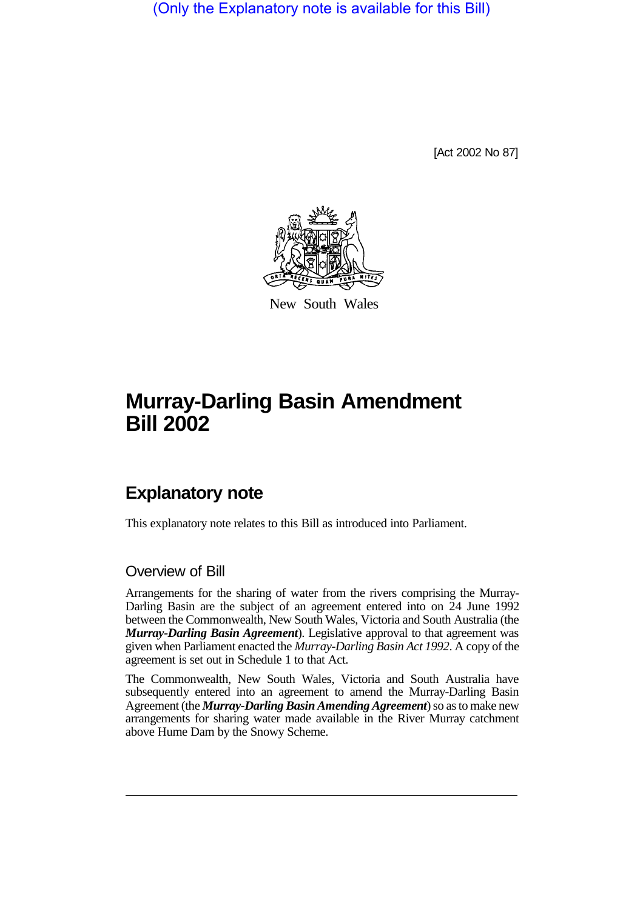(Only the Explanatory note is available for this Bill)

[Act 2002 No 87]



New South Wales

# **Murray-Darling Basin Amendment Bill 2002**

## **Explanatory note**

This explanatory note relates to this Bill as introduced into Parliament.

#### Overview of Bill

Arrangements for the sharing of water from the rivers comprising the Murray-Darling Basin are the subject of an agreement entered into on 24 June 1992 between the Commonwealth, New South Wales, Victoria and South Australia (the *Murray-Darling Basin Agreement*). Legislative approval to that agreement was given when Parliament enacted the *Murray-Darling Basin Act 1992*. A copy of the agreement is set out in Schedule 1 to that Act.

The Commonwealth, New South Wales, Victoria and South Australia have subsequently entered into an agreement to amend the Murray-Darling Basin Agreement (the *Murray-Darling Basin Amending Agreement*) so as to make new arrangements for sharing water made available in the River Murray catchment above Hume Dam by the Snowy Scheme.